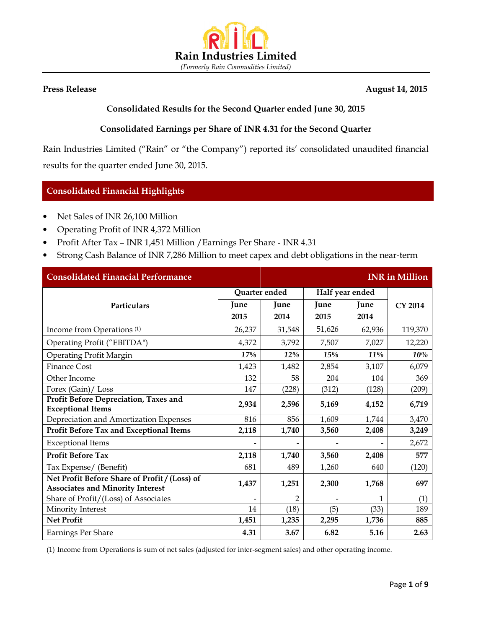

#### Press Release August 14, 2015

## Consolidated Results for the Second Quarter ended June 30, 2015

## Consolidated Earnings per Share of INR 4.31 for the Second Quarter

Rain Industries Limited ("Rain" or "the Company") reported its' consolidated unaudited financial results for the quarter ended June 30, 2015.

## Consolidated Financial Highlights

- Net Sales of INR 26,100 Million
- Operating Profit of INR 4,372 Million
- Profit After Tax INR 1,451 Million /Earnings Per Share INR 4.31
- Strong Cash Balance of INR 7,286 Million to meet capex and debt obligations in the near-term

| <b>Consolidated Financial Performance</b>                                                |                          |                |                          |                 | <b>INR</b> in Million |
|------------------------------------------------------------------------------------------|--------------------------|----------------|--------------------------|-----------------|-----------------------|
|                                                                                          | Quarter ended            |                |                          | Half year ended |                       |
| Particulars                                                                              | June                     | June           | June                     | June            | CY 2014               |
|                                                                                          | 2015                     | 2014           | 2015                     | 2014            |                       |
| Income from Operations <sup>(1)</sup>                                                    | 26,237                   | 31,548         | 51,626                   | 62,936          | 119,370               |
| Operating Profit ("EBITDA")                                                              | 4,372                    | 3,792          | 7,507                    | 7,027           | 12,220                |
| <b>Operating Profit Margin</b>                                                           | 17%                      | 12%            | 15%                      | 11%             | 10%                   |
| <b>Finance Cost</b>                                                                      | 1,423                    | 1,482          | 2,854                    | 3,107           | 6,079                 |
| Other Income                                                                             | 132                      | 58             | 204                      | 104             | 369                   |
| Forex (Gain)/ Loss                                                                       | 147                      | (228)          | (312)                    | (128)           | (209)                 |
| Profit Before Depreciation, Taxes and<br><b>Exceptional Items</b>                        | 2,934                    | 2,596          | 5,169                    | 4,152           | 6,719                 |
| Depreciation and Amortization Expenses                                                   | 816                      | 856            | 1,609                    | 1,744           | 3,470                 |
| Profit Before Tax and Exceptional Items                                                  | 2,118                    | 1,740          | 3,560                    | 2,408           | 3,249                 |
| <b>Exceptional Items</b>                                                                 | $\overline{\phantom{a}}$ |                | $\overline{\phantom{a}}$ |                 | 2,672                 |
| <b>Profit Before Tax</b>                                                                 | 2,118                    | 1,740          | 3,560                    | 2,408           | 577                   |
| Tax Expense/ (Benefit)                                                                   | 681                      | 489            | 1,260                    | 640             | (120)                 |
| Net Profit Before Share of Profit / (Loss) of<br><b>Associates and Minority Interest</b> | 1,437                    | 1,251          | 2,300                    | 1,768           | 697                   |
| Share of Profit/(Loss) of Associates                                                     |                          | $\overline{2}$ |                          | 1               | (1)                   |
| Minority Interest                                                                        | 14                       | (18)           | (5)                      | (33)            | 189                   |
| <b>Net Profit</b>                                                                        | 1,451                    | 1,235          | 2,295                    | 1,736           | 885                   |
| <b>Earnings Per Share</b>                                                                | 4.31                     | 3.67           | 6.82                     | 5.16            | 2.63                  |

(1) Income from Operations is sum of net sales (adjusted for inter-segment sales) and other operating income.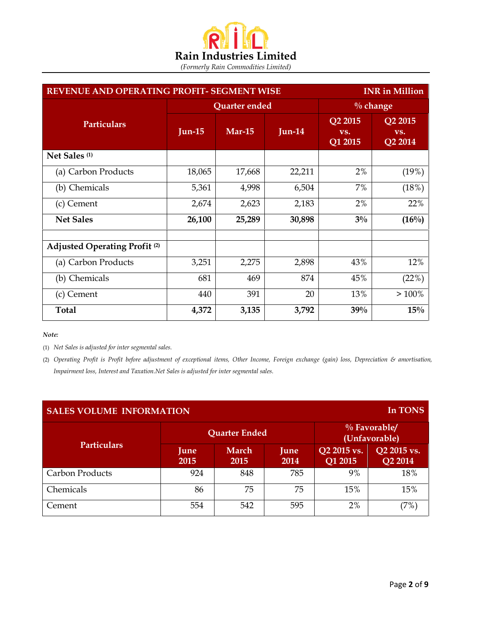

| REVENUE AND OPERATING PROFIT- SEGMENT WISE<br><b>INR</b> in Million |           |               |             |                           |                           |
|---------------------------------------------------------------------|-----------|---------------|-------------|---------------------------|---------------------------|
|                                                                     |           | Quarter ended | $\%$ change |                           |                           |
| <b>Particulars</b>                                                  | Jun- $15$ | Mar-15        | $Jun-14$    | Q2 2015<br>VS.<br>Q1 2015 | Q2 2015<br>VS.<br>Q2 2014 |
| Net Sales <sup>(1)</sup>                                            |           |               |             |                           |                           |
| (a) Carbon Products                                                 | 18,065    | 17,668        | 22,211      | 2%                        | (19%)                     |
| (b) Chemicals                                                       | 5,361     | 4,998         | 6,504       | 7%                        | (18%)                     |
| (c) Cement                                                          | 2,674     | 2,623         | 2,183       | 2%                        | 22%                       |
| <b>Net Sales</b>                                                    | 26,100    | 25,289        | 30,898      | $3\%$                     | $(16\%)$                  |
| <b>Adjusted Operating Profit (2)</b>                                |           |               |             |                           |                           |
| (a) Carbon Products                                                 | 3,251     | 2,275         | 2,898       | 43%                       | 12%                       |
| (b) Chemicals                                                       | 681       | 469           | 874         | 45%                       | (22%)                     |
| (c) Cement                                                          | 440       | 391           | 20          | 13%                       | >100%                     |
| Total                                                               | 4,372     | 3,135         | 3,792       | 39%                       | 15%                       |

Note:

(1) Net Sales is adjusted for inter segmental sales.

(2) Operating Profit is Profit before adjustment of exceptional items, Other Income, Foreign exchange (gain) loss, Depreciation & amortisation, Impairment loss, Interest and Taxation.Net Sales is adjusted for inter segmental sales.

| <b>SALES VOLUME INFORMATION</b> |              |                      |              |                        | In TONS                          |
|---------------------------------|--------------|----------------------|--------------|------------------------|----------------------------------|
|                                 |              | <b>Quarter Ended</b> |              |                        | $\%$ Favorable/<br>(Unfavorable) |
| <b>Particulars</b>              | June<br>2015 | March<br><b>2015</b> | June<br>2014 | Q2 2015 vs.<br>Q1 2015 | Q2 2015 vs.<br>Q2 2014           |
| <b>Carbon Products</b>          | 924          | 848                  | 785          | 9%                     | 18%                              |
| Chemicals                       | 86           | 75                   | 75           | 15%                    | 15%                              |
| Cement                          | 554          | 542                  | 595          | 2%                     | 7%                               |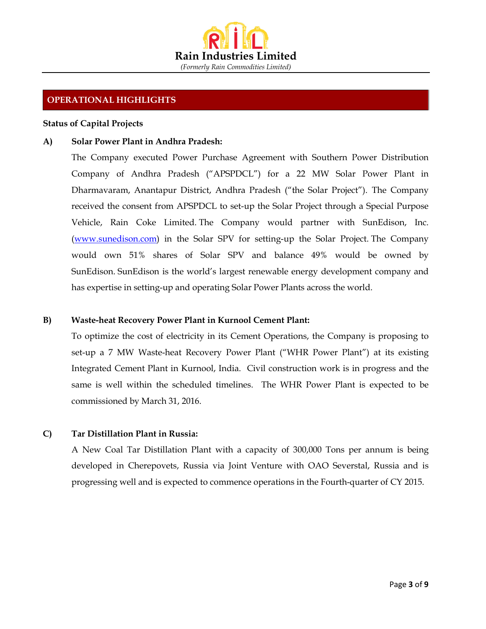

## OPERATIONAL HIGHLIGHTS

#### Status of Capital Projects

#### A) Solar Power Plant in Andhra Pradesh:

The Company executed Power Purchase Agreement with Southern Power Distribution Company of Andhra Pradesh ("APSPDCL") for a 22 MW Solar Power Plant in Dharmavaram, Anantapur District, Andhra Pradesh ("the Solar Project"). The Company received the consent from APSPDCL to set-up the Solar Project through a Special Purpose Vehicle, Rain Coke Limited. The Company would partner with SunEdison, Inc. (www.sunedison.com) in the Solar SPV for setting-up the Solar Project. The Company would own 51% shares of Solar SPV and balance 49% would be owned by SunEdison. SunEdison is the world's largest renewable energy development company and has expertise in setting-up and operating Solar Power Plants across the world.

#### B) Waste-heat Recovery Power Plant in Kurnool Cement Plant:

To optimize the cost of electricity in its Cement Operations, the Company is proposing to set-up a 7 MW Waste-heat Recovery Power Plant ("WHR Power Plant") at its existing Integrated Cement Plant in Kurnool, India. Civil construction work is in progress and the same is well within the scheduled timelines. The WHR Power Plant is expected to be commissioned by March 31, 2016.

#### C) Tar Distillation Plant in Russia:

A New Coal Tar Distillation Plant with a capacity of 300,000 Tons per annum is being developed in Cherepovets, Russia via Joint Venture with OAO Severstal, Russia and is progressing well and is expected to commence operations in the Fourth-quarter of CY 2015.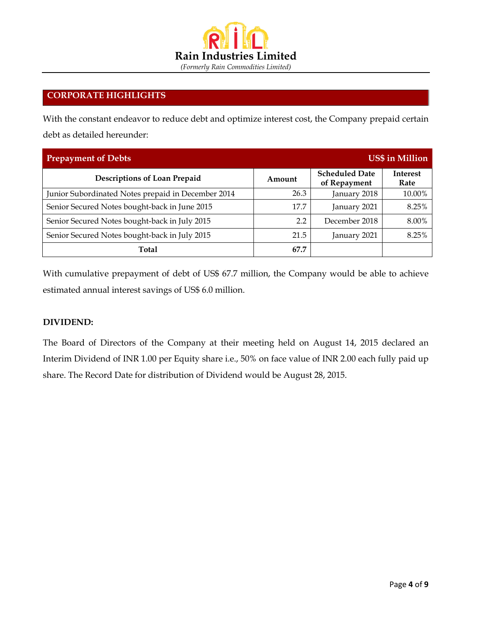

## CORPORATE HIGHLIGHTS

With the constant endeavor to reduce debt and optimize interest cost, the Company prepaid certain debt as detailed hereunder:

| <b>Prepayment of Debts</b>                         |        |                                       | <b>US\$</b> in Million  |
|----------------------------------------------------|--------|---------------------------------------|-------------------------|
| Descriptions of Loan Prepaid                       | Amount | <b>Scheduled Date</b><br>of Repayment | <b>Interest</b><br>Rate |
| Junior Subordinated Notes prepaid in December 2014 | 26.3   | January 2018                          | 10.00%                  |
| Senior Secured Notes bought-back in June 2015      | 17.7   | January 2021                          | 8.25%                   |
| Senior Secured Notes bought-back in July 2015      | 2.2    | December 2018                         | 8.00%                   |
| Senior Secured Notes bought-back in July 2015      | 21.5   | January 2021                          | 8.25%                   |
| Total                                              | 67.7   |                                       |                         |

With cumulative prepayment of debt of US\$ 67.7 million, the Company would be able to achieve estimated annual interest savings of US\$ 6.0 million.

## DIVIDEND:

The Board of Directors of the Company at their meeting held on August 14, 2015 declared an Interim Dividend of INR 1.00 per Equity share i.e., 50% on face value of INR 2.00 each fully paid up share. The Record Date for distribution of Dividend would be August 28, 2015.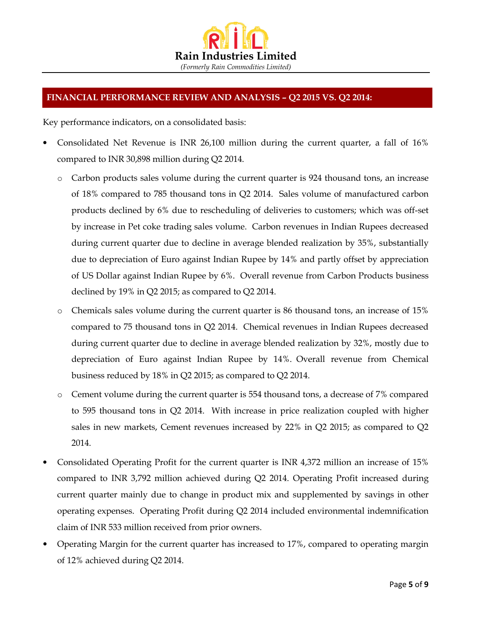

# FINANCIAL PERFORMANCE REVIEW AND ANALYSIS – Q2 2015 VS. Q2 2014:

Key performance indicators, on a consolidated basis:

- Consolidated Net Revenue is INR 26,100 million during the current quarter, a fall of 16% compared to INR 30,898 million during Q2 2014.
	- o Carbon products sales volume during the current quarter is 924 thousand tons, an increase of 18% compared to 785 thousand tons in Q2 2014. Sales volume of manufactured carbon products declined by 6% due to rescheduling of deliveries to customers; which was off-set by increase in Pet coke trading sales volume. Carbon revenues in Indian Rupees decreased during current quarter due to decline in average blended realization by 35%, substantially due to depreciation of Euro against Indian Rupee by 14% and partly offset by appreciation of US Dollar against Indian Rupee by 6%. Overall revenue from Carbon Products business declined by 19% in Q2 2015; as compared to Q2 2014.
	- o Chemicals sales volume during the current quarter is 86 thousand tons, an increase of 15% compared to 75 thousand tons in Q2 2014. Chemical revenues in Indian Rupees decreased during current quarter due to decline in average blended realization by 32%, mostly due to depreciation of Euro against Indian Rupee by 14%. Overall revenue from Chemical business reduced by 18% in Q2 2015; as compared to Q2 2014.
	- o Cement volume during the current quarter is 554 thousand tons, a decrease of 7% compared to 595 thousand tons in Q2 2014. With increase in price realization coupled with higher sales in new markets, Cement revenues increased by 22% in Q2 2015; as compared to Q2 2014.
- Consolidated Operating Profit for the current quarter is INR 4,372 million an increase of 15% compared to INR 3,792 million achieved during Q2 2014. Operating Profit increased during current quarter mainly due to change in product mix and supplemented by savings in other operating expenses. Operating Profit during Q2 2014 included environmental indemnification claim of INR 533 million received from prior owners.
- Operating Margin for the current quarter has increased to 17%, compared to operating margin of 12% achieved during Q2 2014.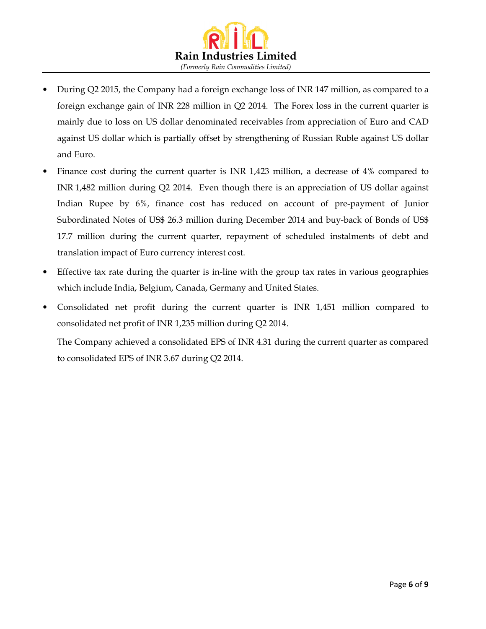

- During Q2 2015, the Company had a foreign exchange loss of INR 147 million, as compared to a foreign exchange gain of INR 228 million in Q2 2014. The Forex loss in the current quarter is mainly due to loss on US dollar denominated receivables from appreciation of Euro and CAD against US dollar which is partially offset by strengthening of Russian Ruble against US dollar and Euro.
- Finance cost during the current quarter is INR 1,423 million, a decrease of 4% compared to INR 1,482 million during Q2 2014. Even though there is an appreciation of US dollar against Indian Rupee by 6%, finance cost has reduced on account of pre-payment of Junior Subordinated Notes of US\$ 26.3 million during December 2014 and buy-back of Bonds of US\$ 17.7 million during the current quarter, repayment of scheduled instalments of debt and translation impact of Euro currency interest cost.
- Effective tax rate during the quarter is in-line with the group tax rates in various geographies which include India, Belgium, Canada, Germany and United States.
- Consolidated net profit during the current quarter is INR 1,451 million compared to consolidated net profit of INR 1,235 million during Q2 2014.
- The Company achieved a consolidated EPS of INR 4.31 during the current quarter as compared to consolidated EPS of INR 3.67 during Q2 2014.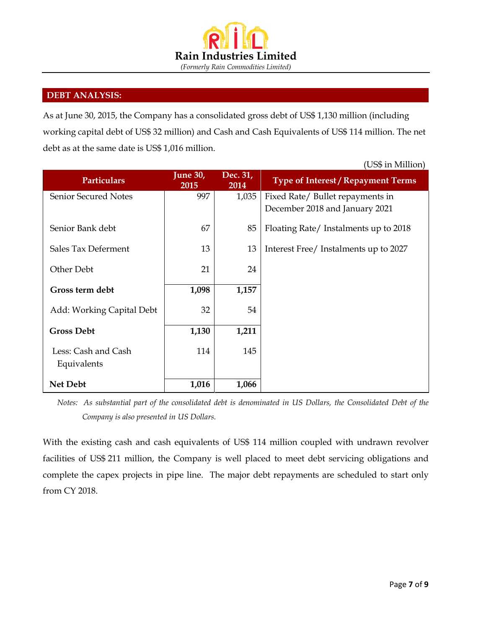

## DEBT ANALYSIS:

As at June 30, 2015, the Company has a consolidated gross debt of US\$ 1,130 million (including working capital debt of US\$ 32 million) and Cash and Cash Equivalents of US\$ 114 million. The net debt as at the same date is US\$ 1,016 million.

|                                    |                         |                  | (US\$ in Million)                                                  |
|------------------------------------|-------------------------|------------------|--------------------------------------------------------------------|
| <b>Particulars</b>                 | <b>June 30,</b><br>2015 | Dec. 31,<br>2014 | <b>Type of Interest / Repayment Terms</b>                          |
| <b>Senior Secured Notes</b>        | 997                     | 1,035            | Fixed Rate/ Bullet repayments in<br>December 2018 and January 2021 |
| Senior Bank debt                   | 67                      | 85               | Floating Rate/Instalments up to 2018                               |
| Sales Tax Deferment                | 13                      | 13               | Interest Free/ Instalments up to 2027                              |
| Other Debt                         | 21                      | 24               |                                                                    |
| Gross term debt                    | 1,098                   | 1,157            |                                                                    |
| Add: Working Capital Debt          | 32                      | 54               |                                                                    |
| <b>Gross Debt</b>                  | 1,130                   | 1,211            |                                                                    |
| Less: Cash and Cash<br>Equivalents | 114                     | 145              |                                                                    |
| <b>Net Debt</b>                    | 1,016                   | 1,066            |                                                                    |

Notes: As substantial part of the consolidated debt is denominated in US Dollars, the Consolidated Debt of the Company is also presented in US Dollars.

With the existing cash and cash equivalents of US\$ 114 million coupled with undrawn revolver facilities of US\$ 211 million, the Company is well placed to meet debt servicing obligations and complete the capex projects in pipe line. The major debt repayments are scheduled to start only from CY 2018.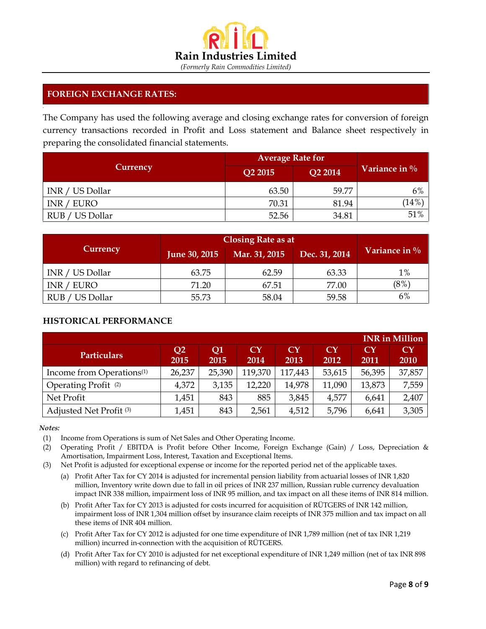

## FOREIGN EXCHANGE RATES:

The Company has used the following average and closing exchange rates for conversion of foreign currency transactions recorded in Profit and Loss statement and Balance sheet respectively in preparing the consolidated financial statements.

|                 | <b>Average Rate for</b> |                |                  |
|-----------------|-------------------------|----------------|------------------|
| Currency        | Q2 2015                 | <b>Q2 2014</b> | Variance in $\%$ |
| INR / US Dollar | 63.50                   | 59.77          | 6%               |
| INR / EURO      | 70.31                   | 81.94          | (14%)            |
| RUB / US Dollar | 52.56                   | 34.81          | 51%              |

|                         | <b>Closing Rate as at</b> |               |               |                  |
|-------------------------|---------------------------|---------------|---------------|------------------|
| Currency                | June 30, 2015             | Mar. 31, 2015 | Dec. 31, 2014 | Variance in $\%$ |
| INR / US Dollar         | 63.75                     | 62.59         | 63.33         | 1%               |
| EURO<br>INR/            | 71.20                     | 67.51         | 77.00         | $(8\%)$          |
| US Dollar<br><b>RUB</b> | 55.73                     | 58.04         | 59.58         | 6%               |

## HISTORICAL PERFORMANCE

|                                       |                        |            |            |                   |            |            | <b>INR</b> in Million          |
|---------------------------------------|------------------------|------------|------------|-------------------|------------|------------|--------------------------------|
| <b>Particulars</b>                    | Q <sub>2</sub><br>2015 | Q1<br>2015 | CY<br>2014 | <b>CY</b><br>2013 | CY<br>2012 | CY<br>2011 | $\mathbf{C}\mathbf{Y}$<br>2010 |
| Income from Operations <sup>(1)</sup> | 26,237                 | 25,390     | 119,370    | 117,443           | 53,615     | 56,395     | 37,857                         |
| Operating Profit <sup>(2)</sup>       | 4,372                  | 3,135      | 12,220     | 14,978            | 11,090     | 13,873     | 7,559                          |
| Net Profit                            | 1,451                  | 843        | 885        | 3,845             | 4,577      | 6,641      | 2,407                          |
| Adjusted Net Profit <sup>(3)</sup>    | 1,451                  | 843        | 2,561      | 4,512             | 5,796      | 6,641      | 3,305                          |

#### Notes:

•

(1) Income from Operations is sum of Net Sales and Other Operating Income.

- (2) Operating Profit / EBITDA is Profit before Other Income, Foreign Exchange (Gain) / Loss, Depreciation & Amortisation, Impairment Loss, Interest, Taxation and Exceptional Items.
- (3) Net Profit is adjusted for exceptional expense or income for the reported period net of the applicable taxes.
	- (a) Profit After Tax for CY 2014 is adjusted for incremental pension liability from actuarial losses of INR 1,820 million, Inventory write down due to fall in oil prices of INR 237 million, Russian ruble currency devaluation impact INR 338 million, impairment loss of INR 95 million, and tax impact on all these items of INR 814 million.
	- (b) Profit After Tax for CY 2013 is adjusted for costs incurred for acquisition of RÜTGERS of INR 142 million, impairment loss of INR 1,304 million offset by insurance claim receipts of INR 375 million and tax impact on all these items of INR 404 million.
	- (c) Profit After Tax for CY 2012 is adjusted for one time expenditure of INR 1,789 million (net of tax INR 1,219 million) incurred in-connection with the acquisition of RÜTGERS.
	- (d) Profit After Tax for CY 2010 is adjusted for net exceptional expenditure of INR 1,249 million (net of tax INR 898 million) with regard to refinancing of debt.